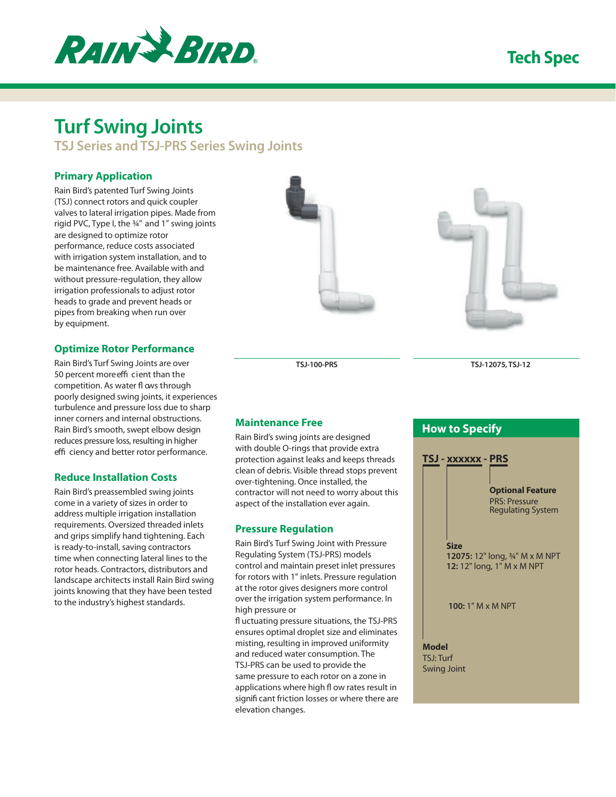

## **Tech Spec**

# **Turf Swing Joints**

**TSJ Series and TSJ-PRS Series Swing Joints**

#### **Primary Application**

Rain Bird's patented Turf Swing Joints (TSJ) connect rotors and quick coupler valves to lateral irrigation pipes. Made from rigid PVC, Type I, the ¾" and 1" swing joints are designed to optimize rotor performance, reduce costs associated with irrigation system installation, and to be maintenance free. Available with and without pressure-regulation, they allow irrigation professionals to adjust rotor heads to grade and prevent heads or pipes from breaking when run over by equipment.

#### **Optimize Rotor Performance**

Rain Bird's Turf Swing Joints are over 50 percent more effi cient than the competition. As water fl ows through poorly designed swing joints, it experiences turbulence and pressure loss due to sharp inner corners and internal obstructions. Rain Bird's smooth, swept elbow design reduces pressure loss, resulting in higher effi ciency and better rotor performance.

#### **Reduce Installation Costs**

Rain Bird's preassembled swing joints come in a variety of sizes in order to address multiple irrigation installation requirements. Oversized threaded inlets and grips simplify hand tightening. Each is ready-to-install, saving contractors time when connecting lateral lines to the rotor heads. Contractors, distributors and landscape architects install Rain Bird swing joints knowing that they have been tested to the industry's highest standards.

**TSJ-100-PRS TSJ-12075, TSJ-12**

## **Maintenance Free**

Rain Bird's swing joints are designed with double O-rings that provide extra protection against leaks and keeps threads clean of debris. Visible thread stops prevent over-tightening. Once installed, the contractor will not need to worry about this aspect of the installation ever again.

#### **Pressure Regulation**

Rain Bird's Turf Swing Joint with Pressure Regulating System (TSJ-PRS) models control and maintain preset inlet pressures for rotors with 1" inlets. Pressure regulation at the rotor gives designers more control over the irrigation system performance. In high pressure or

fl uctuating pressure situations, the TSJ-PRS ensures optimal droplet size and eliminates misting, resulting in improved uniformity and reduced water consumption. The TSJ-PRS can be used to provide the same pressure to each rotor on a zone in applications where high fl ow rates result in signifi cant friction losses or where there are elevation changes.



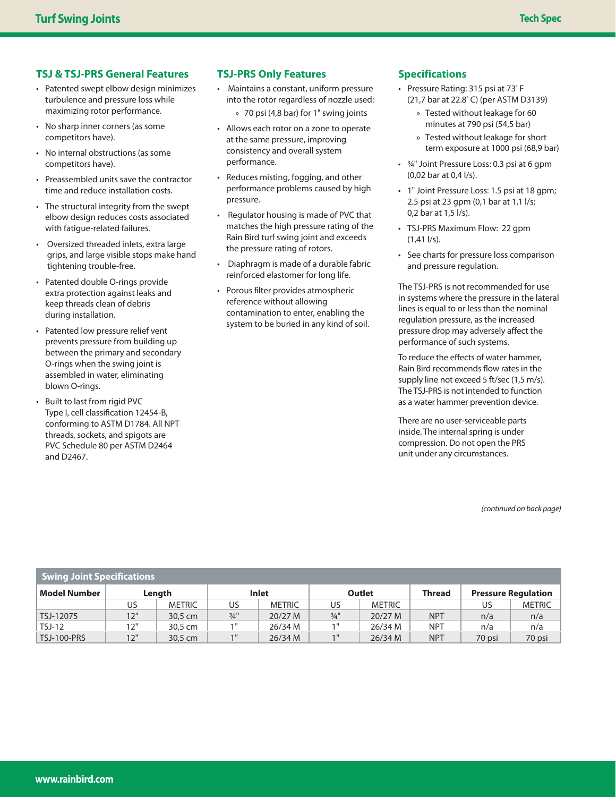## **TSJ & TSJ-PRS General Features**

- Patented swept elbow design minimizes turbulence and pressure loss while maximizing rotor performance.
- No sharp inner corners (as some competitors have).
- No internal obstructions (as some competitors have).
- Preassembled units save the contractor time and reduce installation costs.
- The structural integrity from the swept elbow design reduces costs associated with fatique-related failures.
- Oversized threaded inlets, extra large grips, and large visible stops make hand tightening trouble-free.
- Patented double O-rings provide extra protection against leaks and keep threads clean of debris during installation.
- Patented low pressure relief vent prevents pressure from building up between the primary and secondary O-rings when the swing joint is assembled in water, eliminating blown O-rings.
- Built to last from rigid PVC Type I, cell classification 12454-B, conforming to ASTM D1784. All NPT threads, sockets, and spigots are PVC Schedule 80 per ASTM D2464 and D2467.

### **TSJ-PRS Only Features**

- Maintains a constant, uniform pressure into the rotor regardless of nozzle used:
	- » 70 psi (4,8 bar) for 1" swing joints
- Allows each rotor on a zone to operate at the same pressure, improving consistency and overall system performance.
- Reduces misting, fogging, and other performance problems caused by high pressure.
- Regulator housing is made of PVC that matches the high pressure rating of the Rain Bird turf swing joint and exceeds the pressure rating of rotors.
- Diaphragm is made of a durable fabric reinforced elastomer for long life.
- Porous filter provides atmospheric reference without allowing contamination to enter, enabling the system to be buried in any kind of soil.

#### **Specifications**

- Pressure Rating: 315 psi at 73<sup>º</sup> F (21,7 bar at 22.8<sup>º</sup> C) (per ASTM D3139)
	- » Tested without leakage for 60 minutes at 790 psi (54,5 bar)
	- » Tested without leakage for short term exposure at 1000 psi (68,9 bar)
- ¾" Joint Pressure Loss: 0.3 psi at 6 gpm (0,02 bar at 0,4 l/s).
- 1" Joint Pressure Loss: 1.5 psi at 18 gpm; 2.5 psi at 23 gpm (0,1 bar at 1,1 l/s; 0,2 bar at 1,5 l/s).
- TSJ-PRS Maximum Flow: 22 gpm  $(1,41 \frac{1}{s}).$
- See charts for pressure loss comparison and pressure regulation.

The TSJ-PRS is not recommended for use in systems where the pressure in the lateral lines is equal to or less than the nominal regulation pressure, as the increased pressure drop may adversely affect the performance of such systems.

To reduce the effects of water hammer. Rain Bird recommends flow rates in the supply line not exceed 5 ft/sec (1,5 m/s). The TSJ-PRS is not intended to function as a water hammer prevention device.

There are no user-serviceable parts inside. The internal spring is under compression. Do not open the PRS unit under any circumstances.

(continued on back page)

| Swing Joint Specifications |        |               |                 |               |                   |               |               |                            |               |
|----------------------------|--------|---------------|-----------------|---------------|-------------------|---------------|---------------|----------------------------|---------------|
| <b>Model Number</b>        | Length |               | Inlet           |               | <b>Outlet</b>     |               | <b>Thread</b> | <b>Pressure Regulation</b> |               |
|                            | US     | <b>METRIC</b> | US              | <b>METRIC</b> | US                | <b>METRIC</b> |               | US                         | <b>METRIC</b> |
| TSJ-12075                  | 12"    | 30.5 cm       | $\frac{3}{4}$ " | 20/27 M       | $\frac{3}{4}$ "   | 20/27 M       | <b>NPT</b>    | n/a                        | n/a           |
| <b>TSJ-12</b>              | 12"    | 30.5 cm       | 1"              | 26/34 M       | $1^{\mathrm{II}}$ | 26/34 M       | <b>NPT</b>    | n/a                        | n/a           |
| <b>TSJ-100-PRS</b>         | 12"    | 30,5 cm       | 1 "             | 26/34 M       | 1 <sup>H</sup>    | 26/34 M       | <b>NPT</b>    | 70 psi                     | 70 psi        |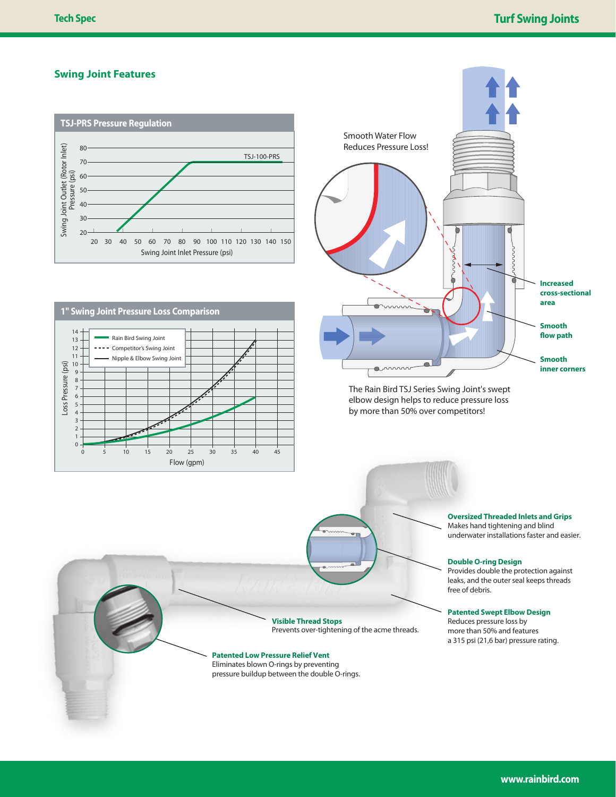#### **Swing Joint Features**







The Rain Bird TSJ Series Swing Joint's swept The Rain Bird TSJ Series Swing Joint's swept elbow design helps to reduce pressure loss elbow design helps to reduce pressure loss by more than 50% over competitors! by more than 50% over competitors!

**Oversized Threaded Inlets and Grips** Makes hand tightening and blind underwater installations faster and easier.

**Double O-ring Design**

Provides double the protection against leaks, and the outer seal keeps threads free of debris.

#### **Patented Swept Elbow Design**

Reduces pressure loss by more than 50% and features a 315 psi (21,6 bar) pressure rating.

**Visible Thread Stops** Prevents over-tightening of the acme threads.

#### **Patented Low Pressure Relief Vent**

Eliminates blown O-rings by preventing pressure buildup between the double O-rings.